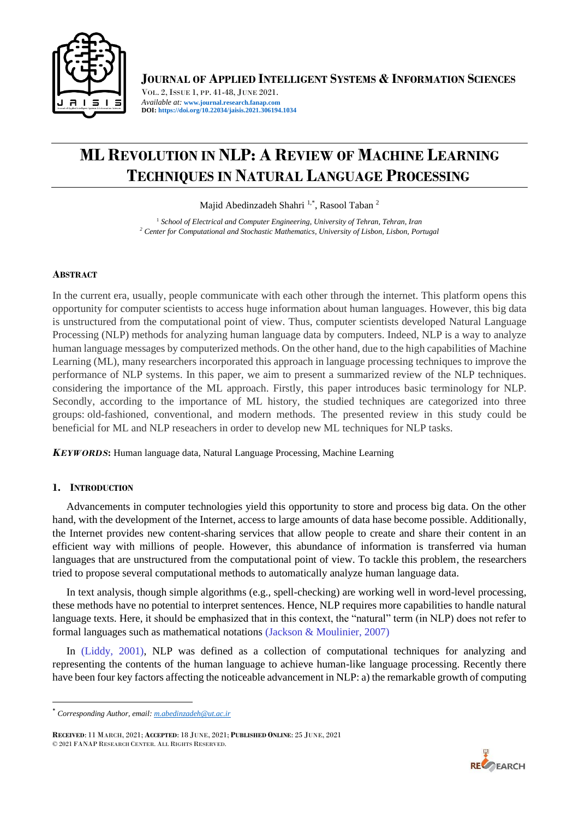

**JOURNAL OF APPLIED INTELLIGENT SYSTEMS & INFORMATION SCIENCES**

VOL. 2, ISSUE 1, PP. 41-48, JUNE 2021. *Available at:* **[www.journal.research.fanap.com](http://www.journal.research.fanap.com/) DOI: https://doi.org/10.22034/jaisis.2021.306194.1034**

# **ML REVOLUTION IN NLP: A REVIEW OF MACHINE LEARNING TECHNIQUES IN NATURAL LANGUAGE PROCESSING**

Majid Abedinzadeh Shahri <sup>1,\*</sup>, Rasool Taban<sup>2</sup>

<sup>1</sup> School of Electrical and Computer Engineering, University of Tehran, Tehran, Iran *<sup>2</sup> Center for Computational and Stochastic Mathematics, University of Lisbon, Lisbon, Portugal*

# **ABSTRACT**

In the current era, usually, people communicate with each other through the internet. This platform opens this opportunity for computer scientists to access huge information about human languages. However, this big data is unstructured from the computational point of view. Thus, computer scientists developed Natural Language Processing (NLP) methods for analyzing human language data by computers. Indeed, NLP is a way to analyze human language messages by computerized methods. On the other hand, due to the high capabilities of Machine Learning (ML), many researchers incorporated this approach in language processing techniques to improve the performance of NLP systems. In this paper, we aim to present a summarized review of the NLP techniques. considering the importance of the ML approach. Firstly, this paper introduces basic terminology for NLP. Secondly, according to the importance of ML history, the studied techniques are categorized into three groups: old-fashioned, conventional, and modern methods. The presented review in this study could be beneficial for ML and NLP reseachers in order to develop new ML techniques for NLP tasks.

*KEYWORDS***:** Human language data, Natural Language Processing, Machine Learning

# **1. INTRODUCTION**

Advancements in computer technologies yield this opportunity to store and process big data. On the other hand, with the development of the Internet, access to large amounts of data hase become possible. Additionally, the Internet provides new content-sharing services that allow people to create and share their content in an efficient way with millions of people. However, this abundance of information is transferred via human languages that are unstructured from the computational point of view. To tackle this problem, the researchers tried to propose several computational methods to automatically analyze human language data.

In text analysis, though simple algorithms (e.g., spell-checking) are working well in word-level processing, these methods have no potential to interpret sentences. Hence, NLP requires more capabilities to handle natural language texts. Here, it should be emphasized that in this context, the "natural" term (in NLP) does not refer to formal languages such as mathematical notations (Jackson & Moulinier, 2007)

In (Liddy, 2001), NLP was defined as a collection of computational techniques for analyzing and representing the contents of the human language to achieve human-like language processing. Recently there have been four key factors affecting the noticeable advancement in NLP: a) the remarkable growth of computing



<sup>\*</sup> *Corresponding Author, email[: m.abedinzadeh@ut.ac.ir](mailto:m.abedinzadeh@ut.ac.ir)*

**RECEIVED**: 11 MARCH, 2021; **ACCEPTED**: 18 JUNE, 2021; **PUBLISHED ONLINE**: 25 JUNE, 2021 © 2021 FANAP RESEARCH CENTER. ALL RIGHTS RESERVED.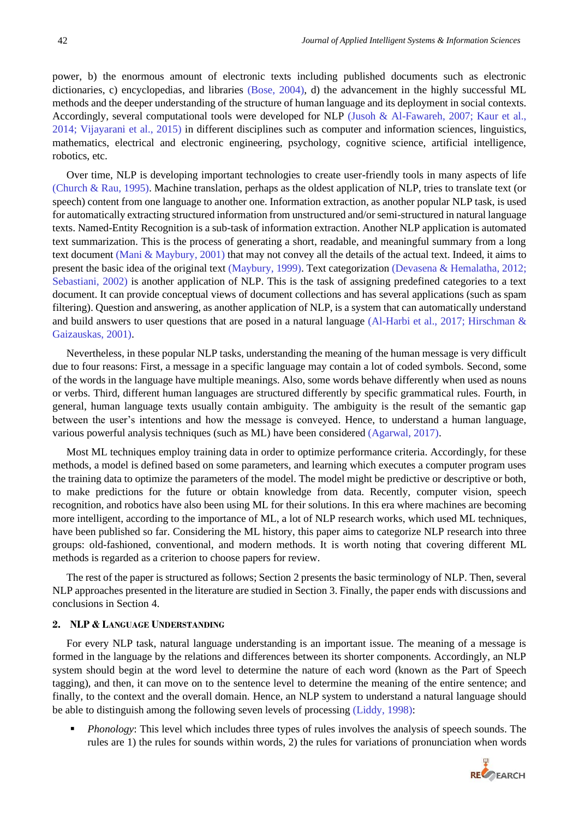power, b) the enormous amount of electronic texts including published documents such as electronic dictionaries, c) encyclopedias, and libraries (Bose, 2004), d) the advancement in the highly successful ML methods and the deeper understanding of the structure of human language and its deployment in social contexts. Accordingly, several computational tools were developed for NLP (Jusoh & Al-Fawareh, 2007; Kaur et al., 2014; Vijayarani et al., 2015) in different disciplines such as computer and information sciences, linguistics, mathematics, electrical and electronic engineering, psychology, cognitive science, artificial intelligence, robotics, etc.

Over time, NLP is developing important technologies to create user-friendly tools in many aspects of life (Church & Rau, 1995). Machine translation, perhaps as the oldest application of NLP, tries to translate text (or speech) content from one language to another one. Information extraction, as another popular NLP task, is used for automatically extracting structured information from unstructured and/or semi-structured in natural language texts. Named-Entity Recognition is a sub-task of information extraction. Another NLP application is automated text summarization. This is the process of generating a short, readable, and meaningful summary from a long text document (Mani & Maybury, 2001) that may not convey all the details of the actual text. Indeed, it aims to present the basic idea of the original text (Maybury, 1999). Text categorization (Devasena & Hemalatha, 2012; Sebastiani, 2002) is another application of NLP. This is the task of assigning predefined categories to a text document. It can provide conceptual views of document collections and has several applications (such as spam filtering). Question and answering, as another application of NLP, is a system that can automatically understand and build answers to user questions that are posed in a natural language (Al-Harbi et al., 2017; Hirschman & Gaizauskas, 2001).

Nevertheless, in these popular NLP tasks, understanding the meaning of the human message is very difficult due to four reasons: First, a message in a specific language may contain a lot of coded symbols. Second, some of the words in the language have multiple meanings. Also, some words behave differently when used as nouns or verbs. Third, different human languages are structured differently by specific grammatical rules. Fourth, in general, human language texts usually contain ambiguity. The ambiguity is the result of the semantic gap between the user's intentions and how the message is conveyed. Hence, to understand a human language, various powerful analysis techniques (such as ML) have been considered (Agarwal, 2017).

Most ML techniques employ training data in order to optimize performance criteria. Accordingly, for these methods, a model is defined based on some parameters, and learning which executes a computer program uses the training data to optimize the parameters of the model. The model might be predictive or descriptive or both, to make predictions for the future or obtain knowledge from data. Recently, computer vision, speech recognition, and robotics have also been using ML for their solutions. In this era where machines are becoming more intelligent, according to the importance of ML, a lot of NLP research works, which used ML techniques, have been published so far. Considering the ML history, this paper aims to categorize NLP research into three groups: old-fashioned, conventional, and modern methods. It is worth noting that covering different ML methods is regarded as a criterion to choose papers for review.

The rest of the paper is structured as follows; Section 2 presents the basic terminology of NLP. Then, several NLP approaches presented in the literature are studied in Section 3. Finally, the paper ends with discussions and conclusions in Section 4.

## **2. NLP & LANGUAGE UNDERSTANDING**

For every NLP task, natural language understanding is an important issue. The meaning of a message is formed in the language by the relations and differences between its shorter components. Accordingly, an NLP system should begin at the word level to determine the nature of each word (known as the Part of Speech tagging), and then, it can move on to the sentence level to determine the meaning of the entire sentence; and finally, to the context and the overall domain. Hence, an NLP system to understand a natural language should be able to distinguish among the following seven levels of processing (Liddy, 1998):

*Phonology*: This level which includes three types of rules involves the analysis of speech sounds. The rules are 1) the rules for sounds within words, 2) the rules for variations of pronunciation when words

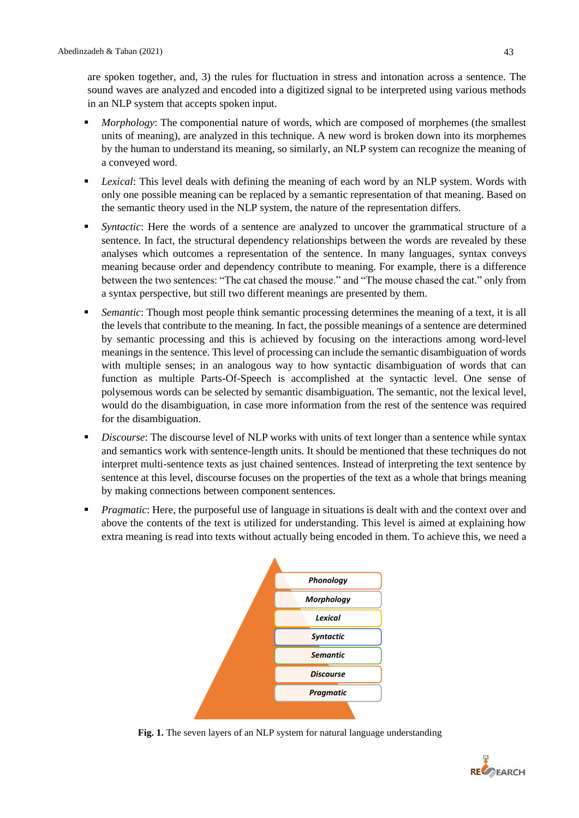are spoken together, and, 3) the rules for fluctuation in stress and intonation across a sentence. The sound waves are analyzed and encoded into a digitized signal to be interpreted using various methods in an NLP system that accepts spoken input.

- *Morphology*: The componential nature of words, which are composed of morphemes (the smallest units of meaning), are analyzed in this technique. A new word is broken down into its morphemes by the human to understand its meaning, so similarly, an NLP system can recognize the meaning of a conveyed word.
- **•** *Lexical*: This level deals with defining the meaning of each word by an NLP system. Words with only one possible meaning can be replaced by a semantic representation of that meaning. Based on the semantic theory used in the NLP system, the nature of the representation differs.
- Syntactic: Here the words of a sentence are analyzed to uncover the grammatical structure of a sentence. In fact, the structural dependency relationships between the words are revealed by these analyses which outcomes a representation of the sentence. In many languages, syntax conveys meaning because order and dependency contribute to meaning. For example, there is a difference between the two sentences: "The cat chased the mouse." and "The mouse chased the cat." only from a syntax perspective, but still two different meanings are presented by them.
- Semantic: Though most people think semantic processing determines the meaning of a text, it is all the levels that contribute to the meaning. In fact, the possible meanings of a sentence are determined by semantic processing and this is achieved by focusing on the interactions among word-level meanings in the sentence. This level of processing can include the semantic disambiguation of words with multiple senses; in an analogous way to how syntactic disambiguation of words that can function as multiple Parts-Of-Speech is accomplished at the syntactic level. One sense of polysemous words can be selected by semantic disambiguation. The semantic, not the lexical level, would do the disambiguation, in case more information from the rest of the sentence was required for the disambiguation.
- *Discourse*: The discourse level of NLP works with units of text longer than a sentence while syntax and semantics work with sentence-length units. It should be mentioned that these techniques do not interpret multi-sentence texts as just chained sentences. Instead of interpreting the text sentence by sentence at this level, discourse focuses on the properties of the text as a whole that brings meaning by making connections between component sentences.
- *Pragmatic*: Here, the purposeful use of language in situations is dealt with and the context over and above the contents of the text is utilized for understanding. This level is aimed at explaining how extra meaning is read into texts without actually being encoded in them. To achieve this, we need a



**Fig. 1.** The seven layers of an NLP system for natural language understanding

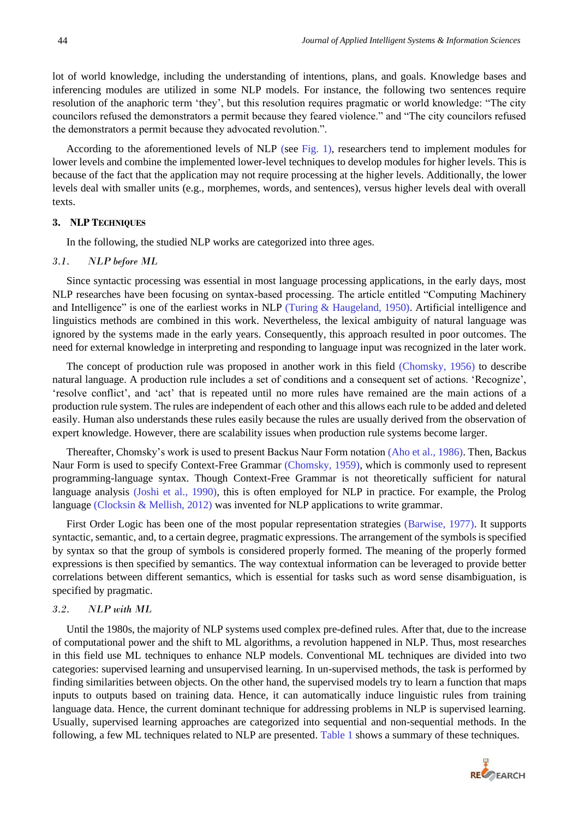lot of world knowledge, including the understanding of intentions, plans, and goals. Knowledge bases and inferencing modules are utilized in some NLP models. For instance, the following two sentences require resolution of the anaphoric term 'they', but this resolution requires pragmatic or world knowledge: "The city councilors refused the demonstrators a permit because they feared violence." and "The city councilors refused the demonstrators a permit because they advocated revolution.".

According to the aforementioned levels of NLP (see Fig. 1), researchers tend to implement modules for lower levels and combine the implemented lower-level techniques to develop modules for higher levels. This is because of the fact that the application may not require processing at the higher levels. Additionally, the lower levels deal with smaller units (e.g., morphemes, words, and sentences), versus higher levels deal with overall texts.

#### **3. NLP TECHNIQUES**

In the following, the studied NLP works are categorized into three ages.

## *3.1. NLP before ML*

Since syntactic processing was essential in most language processing applications, in the early days, most NLP researches have been focusing on syntax-based processing. The article entitled "Computing Machinery and Intelligence" is one of the earliest works in NLP (Turing & Haugeland, 1950). Artificial intelligence and linguistics methods are combined in this work. Nevertheless, the lexical ambiguity of natural language was ignored by the systems made in the early years. Consequently, this approach resulted in poor outcomes. The need for external knowledge in interpreting and responding to language input was recognized in the later work.

The concept of production rule was proposed in another work in this field (Chomsky, 1956) to describe natural language. A production rule includes a set of conditions and a consequent set of actions. 'Recognize', 'resolve conflict', and 'act' that is repeated until no more rules have remained are the main actions of a production rule system. The rules are independent of each other and this allows each rule to be added and deleted easily. Human also understands these rules easily because the rules are usually derived from the observation of expert knowledge. However, there are scalability issues when production rule systems become larger.

Thereafter, Chomsky's work is used to present Backus Naur Form notation (Aho et al., 1986). Then, Backus Naur Form is used to specify Context-Free Grammar (Chomsky, 1959), which is commonly used to represent programming-language syntax. Though Context-Free Grammar is not theoretically sufficient for natural language analysis (Joshi et al., 1990), this is often employed for NLP in practice. For example, the Prolog language (Clocksin & Mellish, 2012) was invented for NLP applications to write grammar.

First Order Logic has been one of the most popular representation strategies (Barwise, 1977). It supports syntactic, semantic, and, to a certain degree, pragmatic expressions. The arrangement of the symbols is specified by syntax so that the group of symbols is considered properly formed. The meaning of the properly formed expressions is then specified by semantics. The way contextual information can be leveraged to provide better correlations between different semantics, which is essential for tasks such as word sense disambiguation, is specified by pragmatic.

#### *3.2. NLP with ML*

Until the 1980s, the majority of NLP systems used complex pre-defined rules. After that, due to the increase of computational power and the shift to ML algorithms, a revolution happened in NLP. Thus, most researches in this field use ML techniques to enhance NLP models. Conventional ML techniques are divided into two categories: supervised learning and unsupervised learning. In un-supervised methods, the task is performed by finding similarities between objects. On the other hand, the supervised models try to learn a function that maps inputs to outputs based on training data. Hence, it can automatically induce linguistic rules from training language data. Hence, the current dominant technique for addressing problems in NLP is supervised learning. Usually, supervised learning approaches are categorized into sequential and non-sequential methods. In the following, a few ML techniques related to NLP are presented. Table 1 shows a summary of these techniques.

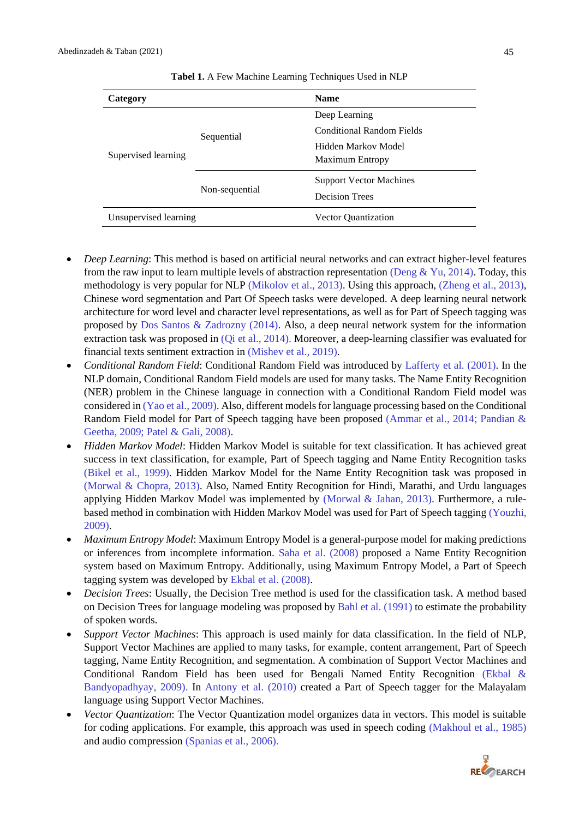| Category              |                | <b>Name</b>                      |
|-----------------------|----------------|----------------------------------|
| Supervised learning   | Sequential     | Deep Learning                    |
|                       |                | <b>Conditional Random Fields</b> |
|                       |                | Hidden Markov Model              |
|                       |                | <b>Maximum Entropy</b>           |
|                       | Non-sequential | <b>Support Vector Machines</b>   |
|                       |                | <b>Decision Trees</b>            |
| Unsupervised learning |                | <b>Vector Quantization</b>       |

#### **Tabel 1.** A Few Machine Learning Techniques Used in NLP

- *Deep Learning*: This method is based on artificial neural networks and can extract higher-level features from the raw input to learn multiple levels of abstraction representation (Deng & Yu, 2014). Today, this methodology is very popular for NLP (Mikolov et al., 2013). Using this approach, (Zheng et al., 2013), Chinese word segmentation and Part Of Speech tasks were developed. A deep learning neural network architecture for word level and character level representations, as well as for Part of Speech tagging was proposed by Dos Santos & Zadrozny (2014). Also, a deep neural network system for the information extraction task was proposed in (Qi et al., 2014). Moreover, a deep-learning classifier was evaluated for financial texts sentiment extraction in (Mishev et al., 2019).
- *Conditional Random Field*: Conditional Random Field was introduced by Lafferty et al. (2001). In the NLP domain, Conditional Random Field models are used for many tasks. The Name Entity Recognition (NER) problem in the Chinese language in connection with a Conditional Random Field model was considered in (Yao et al., 2009). Also, different models for language processing based on the Conditional Random Field model for Part of Speech tagging have been proposed (Ammar et al., 2014; Pandian & Geetha, 2009; Patel & Gali, 2008).
- *Hidden Markov Model*: Hidden Markov Model is suitable for text classification. It has achieved great success in text classification, for example, Part of Speech tagging and Name Entity Recognition tasks (Bikel et al., 1999). Hidden Markov Model for the Name Entity Recognition task was proposed in (Morwal & Chopra, 2013). Also, Named Entity Recognition for Hindi, Marathi, and Urdu languages applying Hidden Markov Model was implemented by (Morwal & Jahan, 2013). Furthermore, a rulebased method in combination with Hidden Markov Model was used for Part of Speech tagging (Youzhi, 2009).
- *Maximum Entropy Model*: Maximum Entropy Model is a general-purpose model for making predictions or inferences from incomplete information. Saha et al. (2008) proposed a Name Entity Recognition system based on Maximum Entropy. Additionally, using Maximum Entropy Model, a Part of Speech tagging system was developed by Ekbal et al. (2008).
- *Decision Trees*: Usually, the Decision Tree method is used for the classification task. A method based on Decision Trees for language modeling was proposed by Bahl et al. (1991) to estimate the probability of spoken words.
- *Support Vector Machines*: This approach is used mainly for data classification. In the field of NLP, Support Vector Machines are applied to many tasks, for example, content arrangement, Part of Speech tagging, Name Entity Recognition, and segmentation. A combination of Support Vector Machines and Conditional Random Field has been used for Bengali Named Entity Recognition (Ekbal & Bandyopadhyay, 2009). In Antony et al. (2010) created a Part of Speech tagger for the Malayalam language using Support Vector Machines.
- *Vector Quantization*: The Vector Quantization model organizes data in vectors. This model is suitable for coding applications. For example, this approach was used in speech coding (Makhoul et al., 1985) and audio compression (Spanias et al., 2006).

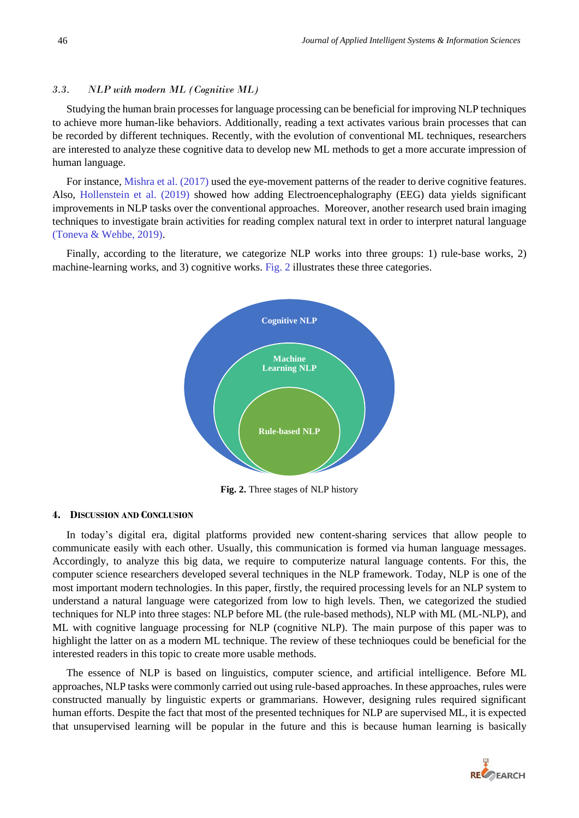# *3.3. NLP with modern ML (Cognitive ML)*

Studying the human brain processes for language processing can be beneficial for improving NLP techniques to achieve more human-like behaviors. Additionally, reading a text activates various brain processes that can be recorded by different techniques. Recently, with the evolution of conventional ML techniques, researchers are interested to analyze these cognitive data to develop new ML methods to get a more accurate impression of human language.

For instance, Mishra et al. (2017) used the eye-movement patterns of the reader to derive cognitive features. Also, Hollenstein et al. (2019) showed how adding Electroencephalography (EEG) data yields significant improvements in NLP tasks over the conventional approaches. Moreover, another research used brain imaging techniques to investigate brain activities for reading complex natural text in order to interpret natural language (Toneva & Wehbe, 2019).

Finally, according to the literature, we categorize NLP works into three groups: 1) rule-base works, 2) machine-learning works, and 3) cognitive works. Fig. 2 illustrates these three categories.



**Fig. 2.** Three stages of NLP history

# **4. DISCUSSION AND CONCLUSION**

In today's digital era, digital platforms provided new content-sharing services that allow people to communicate easily with each other. Usually, this communication is formed via human language messages. Accordingly, to analyze this big data, we require to computerize natural language contents. For this, the computer science researchers developed several techniques in the NLP framework. Today, NLP is one of the most important modern technologies. In this paper, firstly, the required processing levels for an NLP system to understand a natural language were categorized from low to high levels. Then, we categorized the studied techniques for NLP into three stages: NLP before ML (the rule-based methods), NLP with ML (ML-NLP), and ML with cognitive language processing for NLP (cognitive NLP). The main purpose of this paper was to highlight the latter on as a modern ML technique. The review of these technioques could be beneficial for the interested readers in this topic to create more usable methods.

The essence of NLP is based on linguistics, computer science, and artificial intelligence. Before ML approaches, NLP tasks were commonly carried out using rule-based approaches. In these approaches, rules were constructed manually by linguistic experts or grammarians. However, designing rules required significant human efforts. Despite the fact that most of the presented techniques for NLP are supervised ML, it is expected that unsupervised learning will be popular in the future and this is because human learning is basically

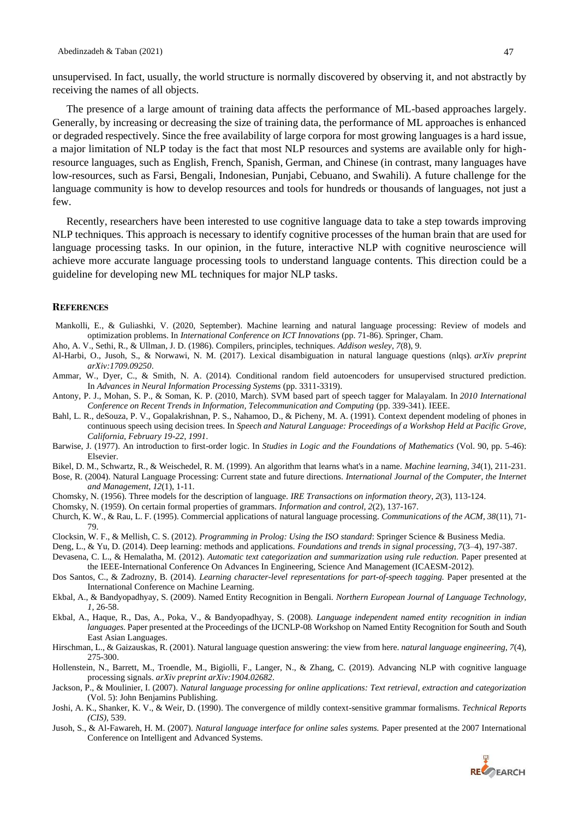receiving the names of all objects.

The presence of a large amount of training data affects the performance of ML-based approaches largely. Generally, by increasing or decreasing the size of training data, the performance of ML approaches is enhanced or degraded respectively. Since the free availability of large corpora for most growing languages is a hard issue, a major limitation of NLP today is the fact that most NLP resources and systems are available only for highresource languages, such as English, French, Spanish, German, and Chinese (in contrast, many languages have low-resources, such as Farsi, Bengali, Indonesian, Punjabi, Cebuano, and Swahili). A future challenge for the language community is how to develop resources and tools for hundreds or thousands of languages, not just a few.

Recently, researchers have been interested to use cognitive language data to take a step towards improving NLP techniques. This approach is necessary to identify cognitive processes of the human brain that are used for language processing tasks. In our opinion, in the future, interactive NLP with cognitive neuroscience will achieve more accurate language processing tools to understand language contents. This direction could be a guideline for developing new ML techniques for major NLP tasks.

#### **REFERENCES**

- Mankolli, E., & Guliashki, V. (2020, September). Machine learning and natural language processing: Review of models and optimization problems. In *International Conference on ICT Innovations* (pp. 71-86). Springer, Cham.
- Aho, A. V., Sethi, R., & Ullman, J. D. (1986). Compilers, principles, techniques. *Addison wesley*, *7*(8), 9.
- Al-Harbi, O., Jusoh, S., & Norwawi, N. M. (2017). Lexical disambiguation in natural language questions (nlqs). *arXiv preprint arXiv:1709.09250*.
- Ammar, W., Dyer, C., & Smith, N. A. (2014). Conditional random field autoencoders for unsupervised structured prediction. In *Advances in Neural Information Processing Systems* (pp. 3311-3319).
- Antony, P. J., Mohan, S. P., & Soman, K. P. (2010, March). SVM based part of speech tagger for Malayalam. In *2010 International Conference on Recent Trends in Information, Telecommunication and Computing* (pp. 339-341). IEEE.
- Bahl, L. R., deSouza, P. V., Gopalakrishnan, P. S., Nahamoo, D., & Picheny, M. A. (1991). Context dependent modeling of phones in continuous speech using decision trees. In *Speech and Natural Language: Proceedings of a Workshop Held at Pacific Grove, California, February 19-22, 1991*.
- Barwise, J. (1977). An introduction to first-order logic. In *Studies in Logic and the Foundations of Mathematics* (Vol. 90, pp. 5-46): Elsevier.
- Bikel, D. M., Schwartz, R., & Weischedel, R. M. (1999). An algorithm that learns what's in a name. *Machine learning*, *34*(1), 211-231.
- Bose, R. (2004). Natural Language Processing: Current state and future directions. *International Journal of the Computer, the Internet and Management*, *12*(1), 1-11.
- Chomsky, N. (1956). Three models for the description of language. *IRE Transactions on information theory*, *2*(3), 113-124.
- Chomsky, N. (1959). On certain formal properties of grammars. *Information and control, 2*(2), 137-167.
- Church, K. W., & Rau, L. F. (1995). Commercial applications of natural language processing. *Communications of the ACM, 38*(11), 71- 79.
- Clocksin, W. F., & Mellish, C. S. (2012). *Programming in Prolog: Using the ISO standard*: Springer Science & Business Media.
- Deng, L., & Yu, D. (2014). Deep learning: methods and applications. *Foundations and trends in signal processing, 7*(3–4), 197-387.
- Devasena, C. L., & Hemalatha, M. (2012). *Automatic text categorization and summarization using rule reduction.* Paper presented at the IEEE-International Conference On Advances In Engineering, Science And Management (ICAESM-2012).
- Dos Santos, C., & Zadrozny, B. (2014). *Learning character-level representations for part-of-speech tagging.* Paper presented at the International Conference on Machine Learning.
- Ekbal, A., & Bandyopadhyay, S. (2009). Named Entity Recognition in Bengali. *Northern European Journal of Language Technology, 1*, 26-58.
- Ekbal, A., Haque, R., Das, A., Poka, V., & Bandyopadhyay, S. (2008). *Language independent named entity recognition in indian languages.* Paper presented at the Proceedings of the IJCNLP-08 Workshop on Named Entity Recognition for South and South East Asian Languages.
- Hirschman, L., & Gaizauskas, R. (2001). Natural language question answering: the view from here. *natural language engineering, 7*(4), 275-300.
- Hollenstein, N., Barrett, M., Troendle, M., Bigiolli, F., Langer, N., & Zhang, C. (2019). Advancing NLP with cognitive language processing signals. *arXiv preprint arXiv:1904.02682*.
- Jackson, P., & Moulinier, I. (2007). *Natural language processing for online applications: Text retrieval, extraction and categorization* (Vol. 5): John Benjamins Publishing.
- Joshi, A. K., Shanker, K. V., & Weir, D. (1990). The convergence of mildly context-sensitive grammar formalisms. *Technical Reports (CIS)*, 539.
- Jusoh, S., & Al-Fawareh, H. M. (2007). *Natural language interface for online sales systems.* Paper presented at the 2007 International Conference on Intelligent and Advanced Systems.